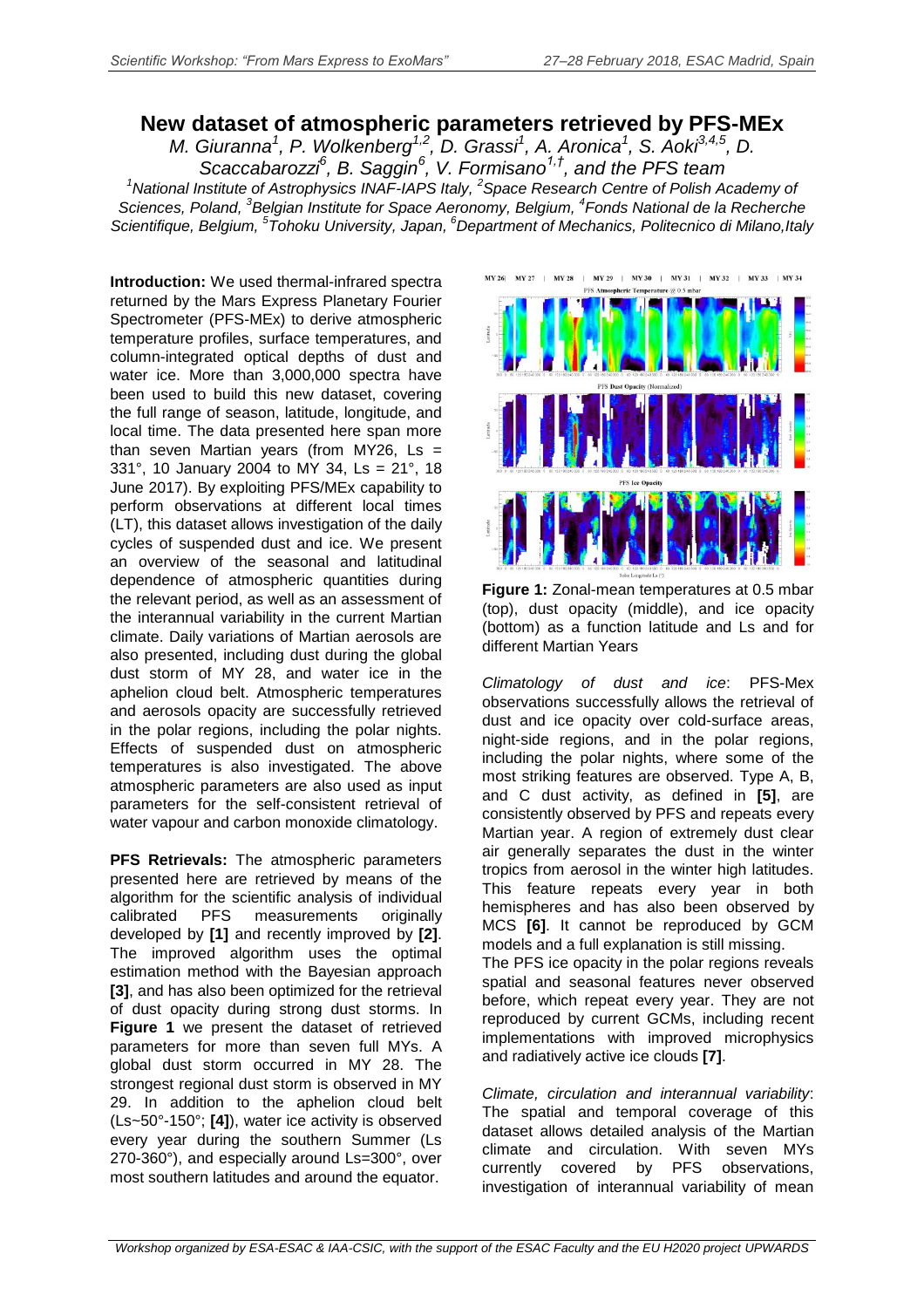## **New dataset of atmospheric parameters retrieved by PFS-MEx**

*M. Giuranna<sup>1</sup> , P. Wolkenberg1,2 , D. Grassi<sup>1</sup> , A. Aronica<sup>1</sup> , S. Aoki3,4,5, D. Scaccabarozzi<sup>6</sup> , B. Saggin<sup>6</sup> , V. Formisano1,† , and the PFS team* <sup>1</sup> National Institute of Astrophysics INAF-IAPS Italy, <sup>2</sup> Space Research Centre of Polish Academy of *Sciences, Poland, 3 Belgian Institute for Space Aeronomy, Belgium, 4 Fonds National de la Recherche Scientifique, Belgium, 5 Tohoku University, Japan, <sup>6</sup>Department of Mechanics, Politecnico di Milano,Italy*

**Introduction:** We used thermal-infrared spectra returned by the Mars Express Planetary Fourier Spectrometer (PFS-MEx) to derive atmospheric temperature profiles, surface temperatures, and column-integrated optical depths of dust and water ice. More than 3,000,000 spectra have been used to build this new dataset, covering the full range of season, latitude, longitude, and local time. The data presented here span more than seven Martian years (from MY26,  $\text{Ls} =$ 331°, 10 January 2004 to MY 34, Ls = 21°, 18 June 2017). By exploiting PFS/MEx capability to perform observations at different local times (LT), this dataset allows investigation of the daily cycles of suspended dust and ice. We present an overview of the seasonal and latitudinal dependence of atmospheric quantities during the relevant period, as well as an assessment of the interannual variability in the current Martian climate. Daily variations of Martian aerosols are also presented, including dust during the global dust storm of MY 28, and water ice in the aphelion cloud belt. Atmospheric temperatures and aerosols opacity are successfully retrieved in the polar regions, including the polar nights. Effects of suspended dust on atmospheric temperatures is also investigated. The above atmospheric parameters are also used as input parameters for the self-consistent retrieval of water vapour and carbon monoxide climatology.

**PFS Retrievals:** The atmospheric parameters presented here are retrieved by means of the algorithm for the scientific analysis of individual calibrated PFS measurements originally developed by **[1]** and recently improved by **[2]**. The improved algorithm uses the optimal estimation method with the Bayesian approach **[3]**, and has also been optimized for the retrieval of dust opacity during strong dust storms. In **Figure 1** we present the dataset of retrieved parameters for more than seven full MYs. A global dust storm occurred in MY 28. The strongest regional dust storm is observed in MY 29. In addition to the aphelion cloud belt (Ls~50°-150°; **[4]**), water ice activity is observed every year during the southern Summer (Ls 270-360°), and especially around Ls=300°, over most southern latitudes and around the equator.





*Climatology of dust and ice*: PFS-Mex observations successfully allows the retrieval of dust and ice opacity over cold-surface areas, night-side regions, and in the polar regions, including the polar nights, where some of the most striking features are observed. Type A, B, and C dust activity, as defined in **[5]**, are consistently observed by PFS and repeats every Martian year. A region of extremely dust clear air generally separates the dust in the winter tropics from aerosol in the winter high latitudes. This feature repeats every year in both hemispheres and has also been observed by MCS **[6]**. It cannot be reproduced by GCM models and a full explanation is still missing. The PFS ice opacity in the polar regions reveals spatial and seasonal features never observed before, which repeat every year. They are not reproduced by current GCMs, including recent implementations with improved microphysics and radiatively active ice clouds **[7]**.

*Climate, circulation and interannual variability*: The spatial and temporal coverage of this dataset allows detailed analysis of the Martian climate and circulation. With seven MYs currently covered by PFS observations, investigation of interannual variability of mean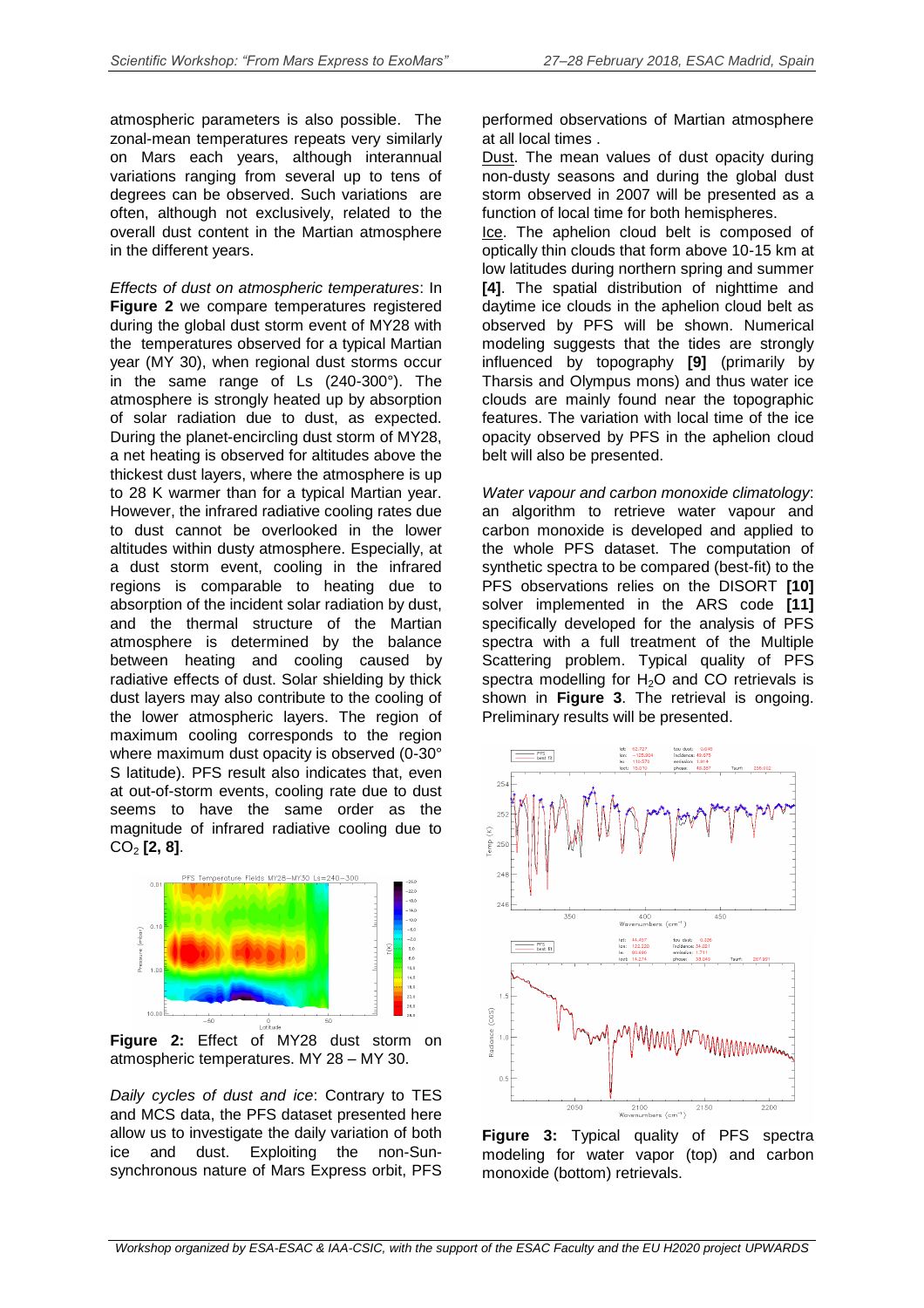atmospheric parameters is also possible. The zonal-mean temperatures repeats very similarly on Mars each years, although interannual variations ranging from several up to tens of degrees can be observed. Such variations are often, although not exclusively, related to the overall dust content in the Martian atmosphere in the different years.

*Effects of dust on atmospheric temperatures*: In **Figure 2** we compare temperatures registered during the global dust storm event of MY28 with the temperatures observed for a typical Martian year (MY 30), when regional dust storms occur in the same range of Ls (240-300°). The atmosphere is strongly heated up by absorption of solar radiation due to dust, as expected. During the planet-encircling dust storm of MY28, a net heating is observed for altitudes above the thickest dust layers, where the atmosphere is up to 28 K warmer than for a typical Martian year. However, the infrared radiative cooling rates due to dust cannot be overlooked in the lower altitudes within dusty atmosphere. Especially, at a dust storm event, cooling in the infrared regions is comparable to heating due to absorption of the incident solar radiation by dust, and the thermal structure of the Martian atmosphere is determined by the balance between heating and cooling caused by radiative effects of dust. Solar shielding by thick dust layers may also contribute to the cooling of the lower atmospheric layers. The region of maximum cooling corresponds to the region where maximum dust opacity is observed (0-30° S latitude). PFS result also indicates that, even at out-of-storm events, cooling rate due to dust seems to have the same order as the magnitude of infrared radiative cooling due to CO<sup>2</sup> **[2, 8]**.



**Figure 2:** Effect of MY28 dust storm on atmospheric temperatures. MY 28 – MY 30.

*Daily cycles of dust and ice*: Contrary to TES and MCS data, the PFS dataset presented here allow us to investigate the daily variation of both ice and dust. Exploiting the non-Sunsynchronous nature of Mars Express orbit, PFS

performed observations of Martian atmosphere at all local times .

Dust. The mean values of dust opacity during non-dusty seasons and during the global dust storm observed in 2007 will be presented as a function of local time for both hemispheres.

Ice. The aphelion cloud belt is composed of optically thin clouds that form above 10-15 km at low latitudes during northern spring and summer **[4]**. The spatial distribution of nighttime and daytime ice clouds in the aphelion cloud belt as observed by PFS will be shown. Numerical modeling suggests that the tides are strongly influenced by topography **[9]** (primarily by Tharsis and Olympus mons) and thus water ice clouds are mainly found near the topographic features. The variation with local time of the ice opacity observed by PFS in the aphelion cloud belt will also be presented.

*Water vapour and carbon monoxide climatology*: an algorithm to retrieve water vapour and carbon monoxide is developed and applied to the whole PFS dataset. The computation of synthetic spectra to be compared (best-fit) to the PFS observations relies on the DISORT **[10]** solver implemented in the ARS code **[11]** specifically developed for the analysis of PFS spectra with a full treatment of the Multiple Scattering problem. Typical quality of PFS spectra modelling for  $H_2O$  and CO retrievals is shown in **Figure 3**. The retrieval is ongoing. Preliminary results will be presented.



**Figure 3:** Typical quality of PFS spectra modeling for water vapor (top) and carbon monoxide (bottom) retrievals.